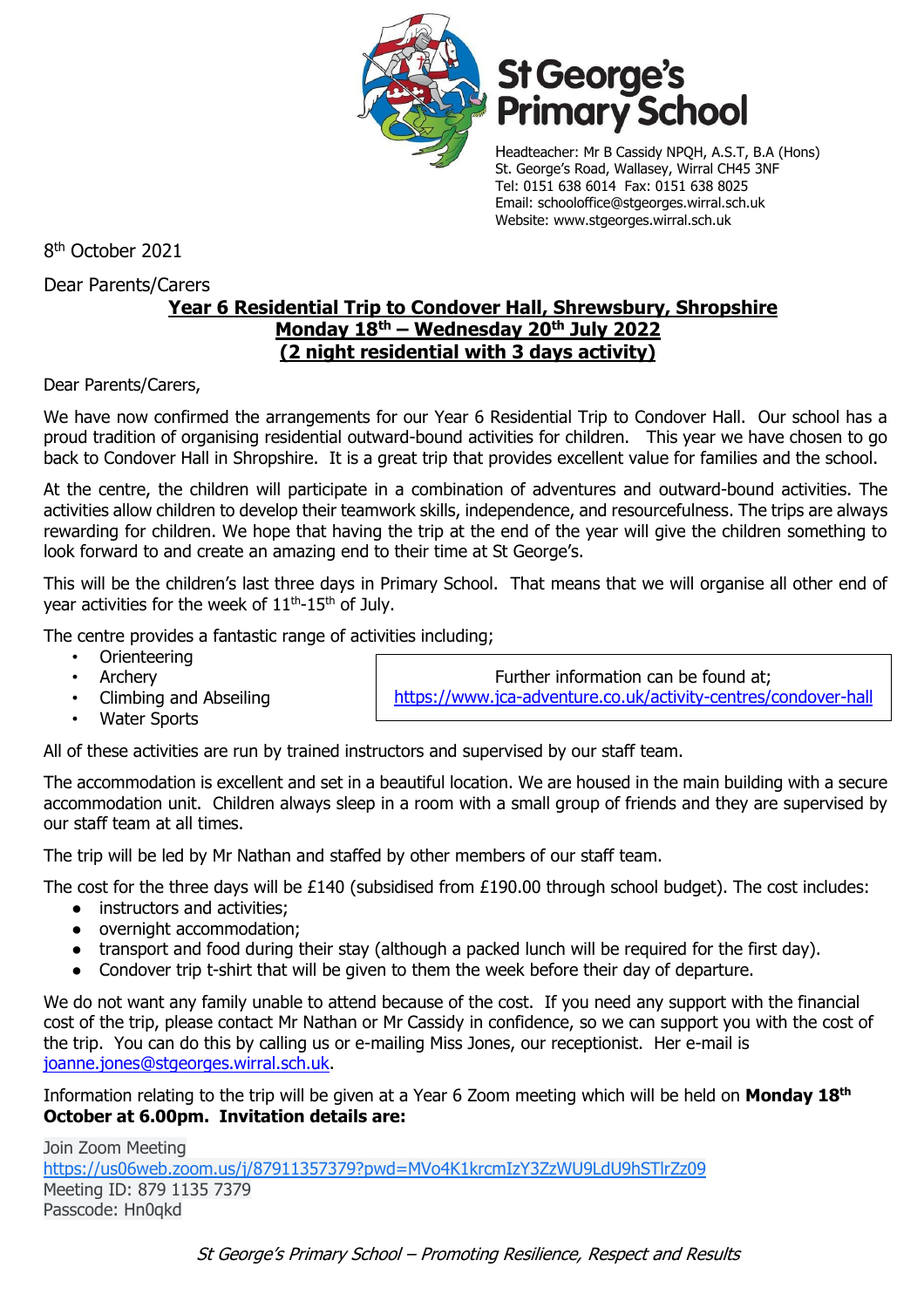

# **St George's<br>Primary School**

Headteacher: Mr B Cassidy NPQH, A.S.T, B.A (Hons) St. George's Road, Wallasey, Wirral CH45 3NF Tel: 0151 638 6014 Fax: 0151 638 8025 Email: schooloffice@stgeorges.wirral.sch.uk Website: www.stgeorges.wirral.sch.uk

8 th October 2021

Dear Parents/Carers

## **Year 6 Residential Trip to Condover Hall, Shrewsbury, Shropshire Monday 18th – Wednesday 20th July 2022 (2 night residential with 3 days activity)**

Dear Parents/Carers,

We have now confirmed the arrangements for our Year 6 Residential Trip to Condover Hall. Our school has a proud tradition of organising residential outward-bound activities for children. This year we have chosen to go back to Condover Hall in Shropshire. It is a great trip that provides excellent value for families and the school.

At the centre, the children will participate in a combination of adventures and outward-bound activities. The activities allow children to develop their teamwork skills, independence, and resourcefulness. The trips are always rewarding for children. We hope that having the trip at the end of the year will give the children something to look forward to and create an amazing end to their time at St George's.

This will be the children's last three days in Primary School. That means that we will organise all other end of year activities for the week of  $11<sup>th</sup>$ -15<sup>th</sup> of July.

The centre provides a fantastic range of activities including;

- Orienteering
- **Archery**
- Climbing and Abseiling
- Water Sports

Further information can be found at; <https://www.jca-adventure.co.uk/activity-centres/condover-hall>

All of these activities are run by trained instructors and supervised by our staff team.

The accommodation is excellent and set in a beautiful location. We are housed in the main building with a secure accommodation unit. Children always sleep in a room with a small group of friends and they are supervised by our staff team at all times.

The trip will be led by Mr Nathan and staffed by other members of our staff team.

The cost for the three days will be £140 (subsidised from £190.00 through school budget). The cost includes:

- instructors and activities;
- overnight accommodation;
- transport and food during their stay (although a packed lunch will be required for the first day).
- Condover trip t-shirt that will be given to them the week before their day of departure.

We do not want any family unable to attend because of the cost. If you need any support with the financial cost of the trip, please contact Mr Nathan or Mr Cassidy in confidence, so we can support you with the cost of the trip. You can do this by calling us or e-mailing Miss Jones, our receptionist. Her e-mail is [joanne.jones@stgeorges.wirral.sch.uk.](mailto:joanne.jones@stgeorges.wirral.sch.uk)

Information relating to the trip will be given at a Year 6 Zoom meeting which will be held on **Monday 18th October at 6.00pm. Invitation details are:**

Join Zoom Meeting [https://us06web.zoom.us/j/87911357379?pwd=MVo4K1krcmIzY3ZzWU9LdU9hSTlrZz09](https://www.google.com/url?q=https://us06web.zoom.us/j/87911357379?pwd%3DMVo4K1krcmIzY3ZzWU9LdU9hSTlrZz09&sa=D&source=calendar&ust=1633936169173007&usg=AOvVaw1gnOvOaryOsdJt-QzC4Xtf) Meeting ID: 879 1135 7379 Passcode: Hn0qkd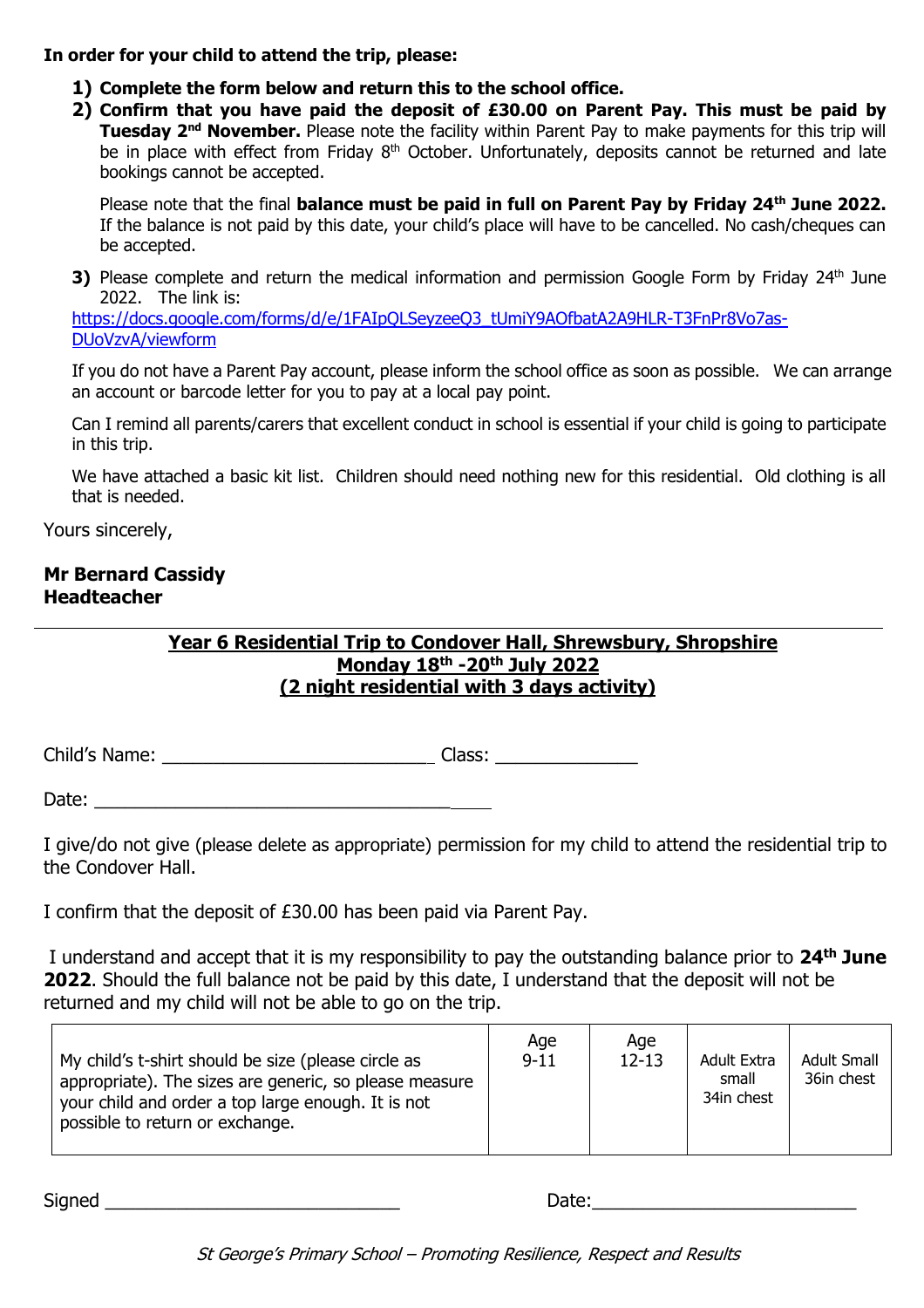#### **In order for your child to attend the trip, please:**

- **1) Complete the form below and return this to the school office.**
- **2) Confirm that you have paid the deposit of £30.00 on Parent Pay. This must be paid by Tuesday 2nd November.** Please note the facility within Parent Pay to make payments for this trip will be in place with effect from Friday 8<sup>th</sup> October. Unfortunately, deposits cannot be returned and late bookings cannot be accepted.

Please note that the final **balance must be paid in full on Parent Pay by Friday 24th June 2022.** If the balance is not paid by this date, your child's place will have to be cancelled. No cash/cheques can be accepted.

**3)** Please complete and return the medical information and permission Google Form by Friday 24<sup>th</sup> June 2022. The link is:

https://docs.google.com/forms/d/e/1FAIpOLSeyzeeO3\_tUmiY9AOfbatA2A9HLR-T3FnPr8Vo7as-[DUoVzvA/viewform](https://docs.google.com/forms/d/e/1FAIpQLSeyzeeQ3_tUmiY9AOfbatA2A9HLR-T3FnPr8Vo7as-DUoVzvA/viewform)

If you do not have a Parent Pay account, please inform the school office as soon as possible. We can arrange an account or barcode letter for you to pay at a local pay point.

Can I remind all parents/carers that excellent conduct in school is essential if your child is going to participate in this trip.

We have attached a basic kit list. Children should need nothing new for this residential. Old clothing is all that is needed.

Yours sincerely,

### **Mr Bernard Cassidy Headteacher**

### **Year 6 Residential Trip to Condover Hall, Shrewsbury, Shropshire Monday 18th -20th July 2022 (2 night residential with 3 days activity)**

Child's Name: \_\_\_\_\_\_\_\_\_\_\_\_\_\_\_\_\_\_\_\_\_\_\_\_\_\_ Class: \_\_\_\_\_\_\_\_\_\_\_\_\_\_

Date:

I give/do not give (please delete as appropriate) permission for my child to attend the residential trip to the Condover Hall.

I confirm that the deposit of £30.00 has been paid via Parent Pay.

I understand and accept that it is my responsibility to pay the outstanding balance prior to **24th June 2022**. Should the full balance not be paid by this date, I understand that the deposit will not be returned and my child will not be able to go on the trip.

| My child's t-shirt should be size (please circle as<br>appropriate). The sizes are generic, so please measure<br>your child and order a top large enough. It is not<br>possible to return or exchange. | Age<br>$9 - 11$ | Age<br>$12 - 13$ | <b>Adult Extra</b><br>small<br>34in chest | <b>Adult Small</b><br>36in chest |
|--------------------------------------------------------------------------------------------------------------------------------------------------------------------------------------------------------|-----------------|------------------|-------------------------------------------|----------------------------------|
|--------------------------------------------------------------------------------------------------------------------------------------------------------------------------------------------------------|-----------------|------------------|-------------------------------------------|----------------------------------|

Signed \_\_\_\_\_\_\_\_\_\_\_\_\_\_\_\_\_\_\_\_\_\_\_\_\_\_\_\_\_ Date:\_\_\_\_\_\_\_\_\_\_\_\_\_\_\_\_\_\_\_\_\_\_\_\_\_\_